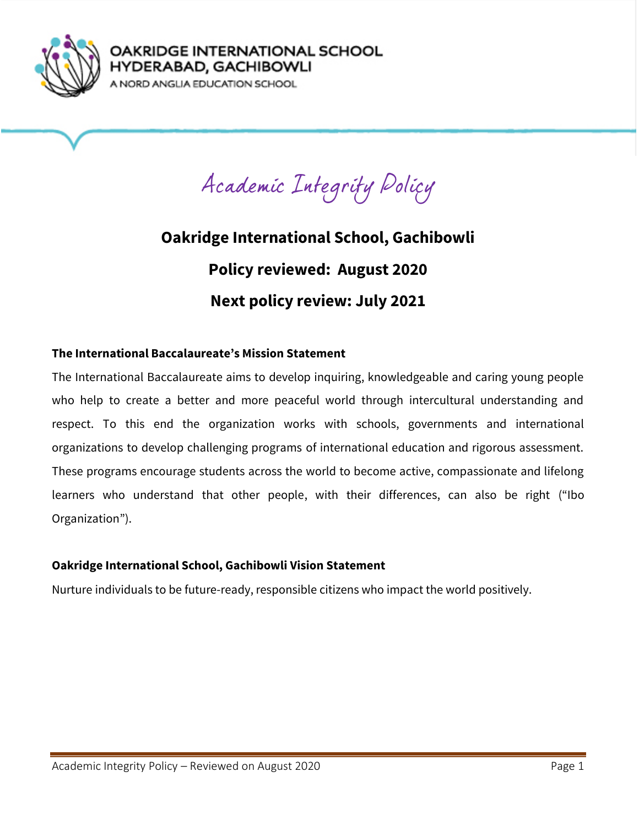

**DGE INTERNATIONAL SCHOOL \BAD, GACHIBOWLI** 

ORD ANGLIA EDUCATION SCHOOL

Academic Integrity Dolicy

# **Oakridge International School, Gachibowli Policy reviewed: August 2020 Next policy review: July 2021**

#### **The International Baccalaureate's Mission Statement**

The International Baccalaureate aims to develop inquiring, knowledgeable and caring young people who help to create a better and more peaceful world through intercultural understanding and respect. To this end the organization works with schools, governments and international organizations to develop challenging programs of international education and rigorous assessment. These programs encourage students across the world to become active, compassionate and lifelong learners who understand that other people, with their differences, can also be right ("Ibo Organization").

# **Oakridge International School, Gachibowli Vision Statement**

Nurture individuals to be future-ready, responsible citizens who impact the world positively.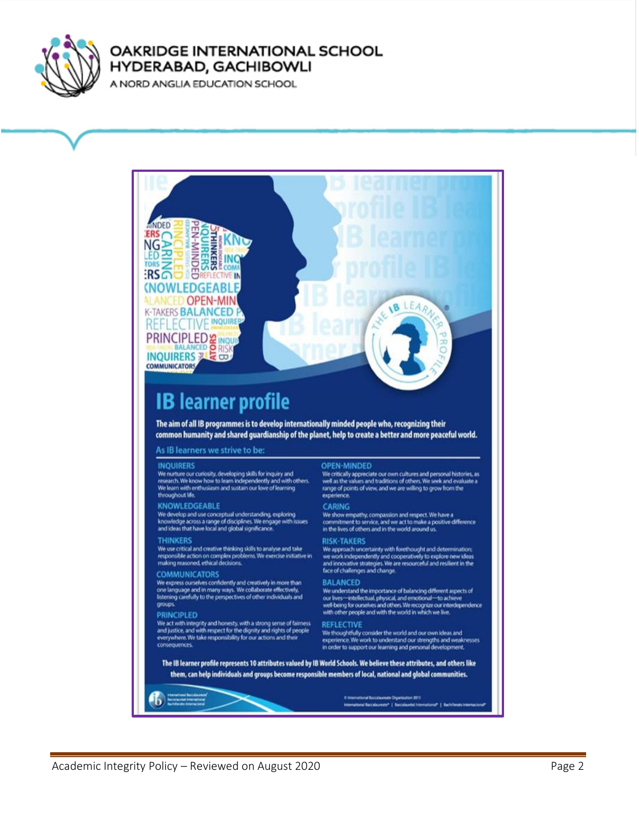

# OAKRIDGE INTERNATIONAL SCHOOL HYDERABAD, GACHIBOWLI

A NORD ANGLIA EDUCATION SCHOOL

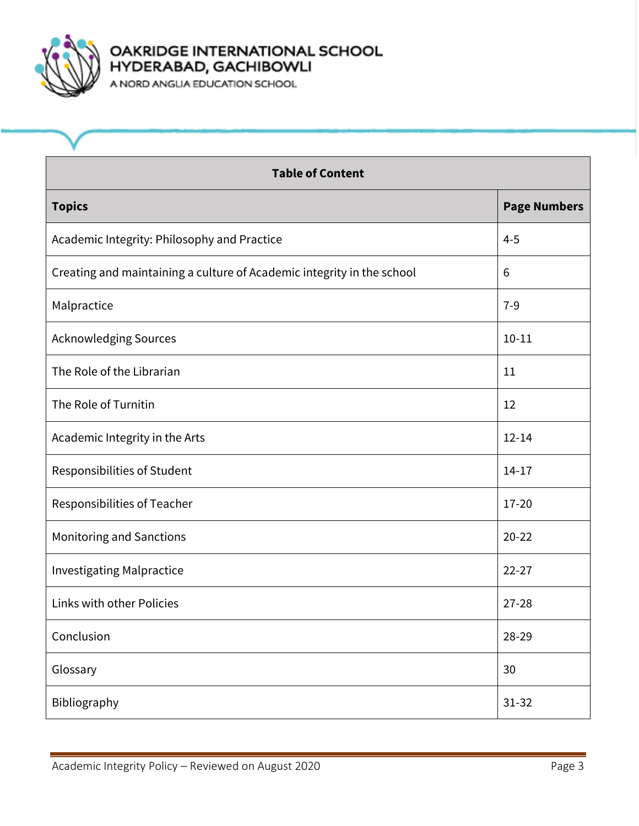

# **OAKRIDGE INTERNATIONAL SCHOOL**<br>HYDERABAD, GACHIBOWLI<br>A NORD ANGLIA EDUCATION SCHOOL

| <b>Table of Content</b>                                                |                     |
|------------------------------------------------------------------------|---------------------|
| <b>Topics</b>                                                          | <b>Page Numbers</b> |
| Academic Integrity: Philosophy and Practice                            | $4 - 5$             |
| Creating and maintaining a culture of Academic integrity in the school | 6                   |
| Malpractice                                                            | $7 - 9$             |
| Acknowledging Sources                                                  | $10 - 11$           |
| The Role of the Librarian                                              | 11                  |
| The Role of Turnitin                                                   | 12                  |
| Academic Integrity in the Arts                                         | $12 - 14$           |
| Responsibilities of Student                                            | $14 - 17$           |
| Responsibilities of Teacher                                            | $17 - 20$           |
| Monitoring and Sanctions                                               | $20 - 22$           |
| <b>Investigating Malpractice</b>                                       | $22 - 27$           |
| Links with other Policies                                              | $27 - 28$           |
| Conclusion                                                             | 28-29               |
| Glossary                                                               | 30                  |
| Bibliography                                                           | $31 - 32$           |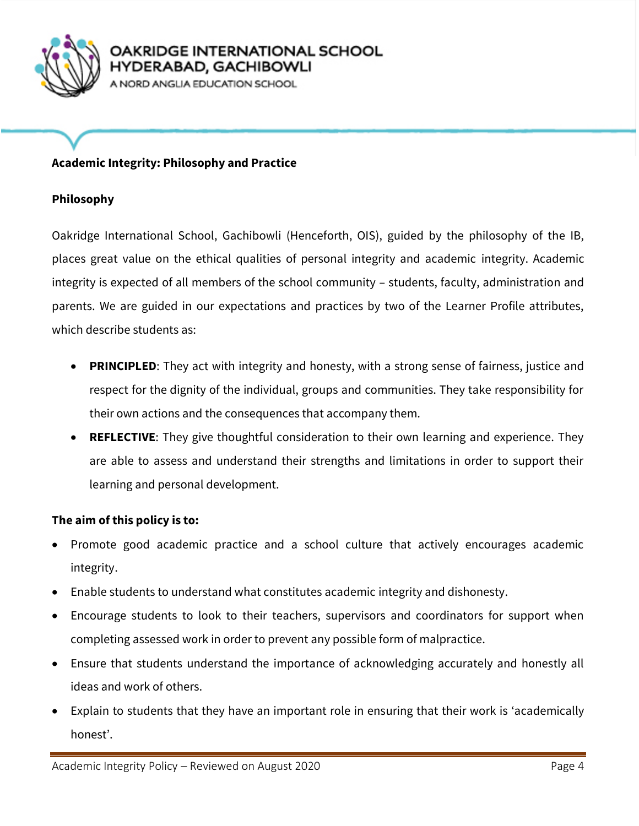

# **INTERNATIONAL SCHOOL** BAD, GACHIBOWLI

ORD ANGLIA EDUCATION SCHOOL

# **Academic Integrity: Philosophy and Practice**

#### **Philosophy**

Oakridge International School, Gachibowli (Henceforth, OIS), guided by the philosophy of the IB, places great value on the ethical qualities of personal integrity and academic integrity. Academic integrity is expected of all members of the school community – students, faculty, administration and parents. We are guided in our expectations and practices by two of the Learner Profile attributes, which describe students as:

- **PRINCIPLED:** They act with integrity and honesty, with a strong sense of fairness, justice and respect for the dignity of the individual, groups and communities. They take responsibility for their own actions and the consequences that accompany them.
- **REFLECTIVE:** They give thoughtful consideration to their own learning and experience. They are able to assess and understand their strengths and limitations in order to support their learning and personal development.

#### **The aim of this policy is to:**

- Promote good academic practice and a school culture that actively encourages academic integrity.
- Enable students to understand what constitutes academic integrity and dishonesty.
- Encourage students to look to their teachers, supervisors and coordinators for support when completing assessed work in order to prevent any possible form of malpractice.
- Ensure that students understand the importance of acknowledging accurately and honestly all ideas and work of others.
- Explain to students that they have an important role in ensuring that their work is 'academically honest'.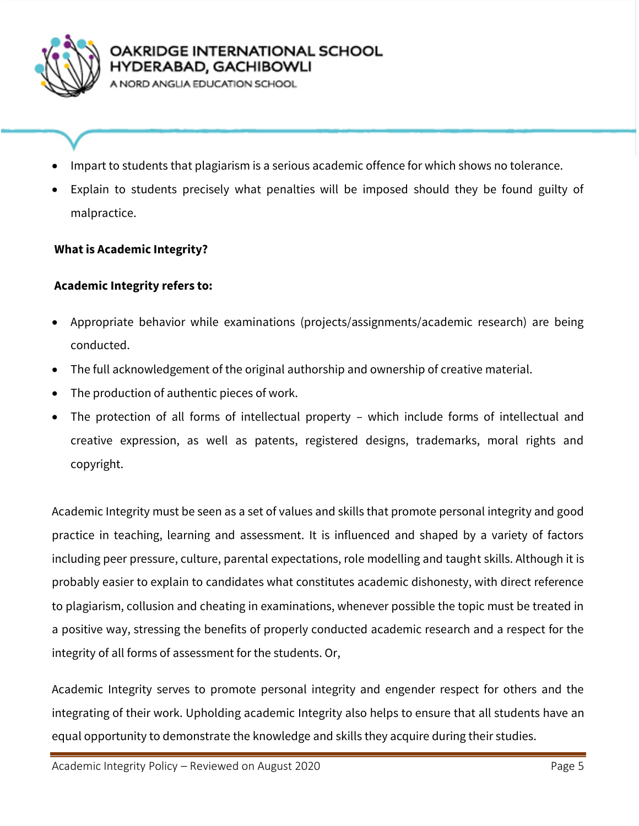

# **GE INTERNATIONAL SCHOOL** BAD. GACHIBOWLI

ORD ANGLIA EDUCATION SCHOOL

- Impart to students that plagiarism is a serious academic offence for which shows no tolerance.
- Explain to students precisely what penalties will be imposed should they be found guilty of malpractice.

#### **What is Academic Integrity?**

#### **Academic Integrity refers to:**

- Appropriate behavior while examinations (projects/assignments/academic research) are being conducted.
- The full acknowledgement of the original authorship and ownership of creative material.
- The production of authentic pieces of work.
- The protection of all forms of intellectual property which include forms of intellectual and creative expression, as well as patents, registered designs, trademarks, moral rights and copyright.

Academic Integrity must be seen as a set of values and skills that promote personal integrity and good practice in teaching, learning and assessment. It is influenced and shaped by a variety of factors including peer pressure, culture, parental expectations, role modelling and taught skills. Although it is probably easier to explain to candidates what constitutes academic dishonesty, with direct reference to plagiarism, collusion and cheating in examinations, whenever possible the topic must be treated in a positive way, stressing the benefits of properly conducted academic research and a respect for the integrity of all forms of assessment for the students. Or,

Academic Integrity serves to promote personal integrity and engender respect for others and the integrating of their work. Upholding academic Integrity also helps to ensure that all students have an equal opportunity to demonstrate the knowledge and skills they acquire during their studies.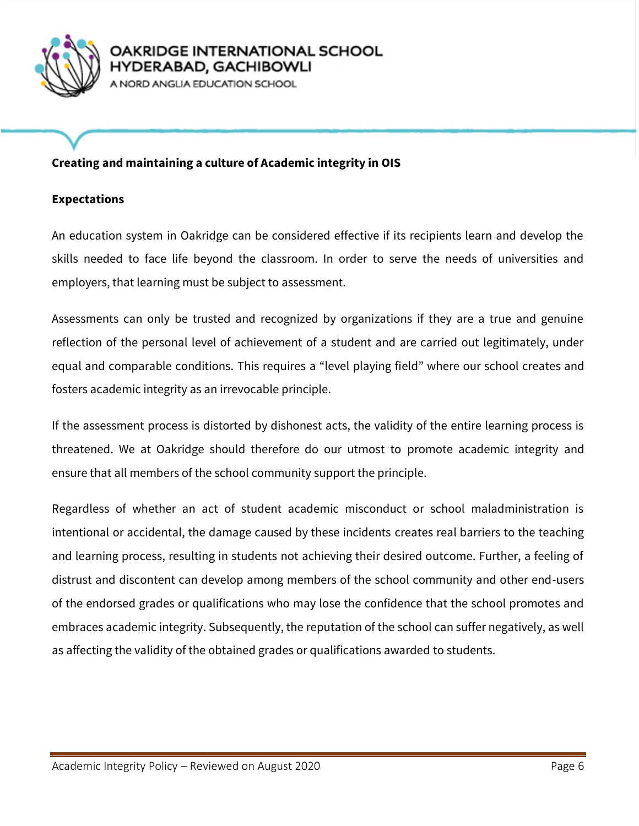

# **SE INTERNATIONAL SCHOOL** BAD. GACHIBOWLI

**NGLIA EDUCATION SCHOOL** 

#### **Creating and maintaining a culture of Academic integrity in OIS**

#### **Expectations**

An education system in Oakridge can be considered effective if its recipients learn and develop the skills needed to face life beyond the classroom. In order to serve the needs of universities and employers, that learning must be subject to assessment.

Assessments can only be trusted and recognized by organizations if they are a true and genuine reflection of the personal level of achievement of a student and are carried out legitimately, under equal and comparable conditions. This requires a "level playing field" where our school creates and fosters academic integrity as an irrevocable principle.

If the assessment process is distorted by dishonest acts, the validity of the entire learning process is threatened. We at Oakridge should therefore do our utmost to promote academic integrity and ensure that all members of the school community support the principle.

Regardless of whether an act of student academic misconduct or school maladministration is intentional or accidental, the damage caused by these incidents creates real barriers to the teaching and learning process, resulting in students not achieving their desired outcome. Further, a feeling of distrust and discontent can develop among members of the school community and other end-users of the endorsed grades or qualifications who may lose the confidence that the school promotes and embraces academic integrity. Subsequently, the reputation of the school can suffer negatively, as well as affecting the validity of the obtained grades or qualifications awarded to students.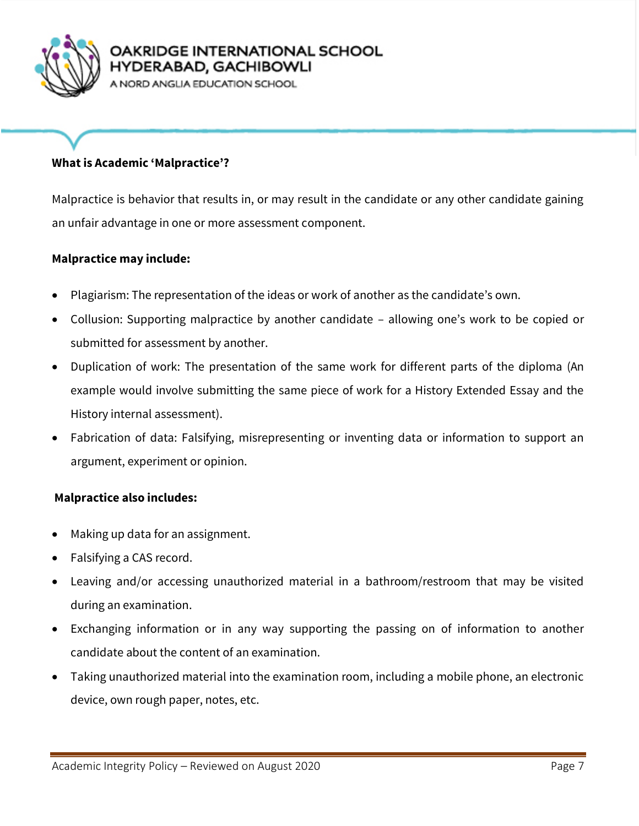

# **GE INTERNATIONAL SCHOOL \BAD, GACHIBOWLI**

**VORD ANGLIA EDUCATION SCHOOL** 

#### **What is Academic 'Malpractice'?**

Malpractice is behavior that results in, or may result in the candidate or any other candidate gaining an unfair advantage in one or more assessment component.

#### **Malpractice may include:**

- Plagiarism: The representation of the ideas or work of another as the candidate's own.
- Collusion: Supporting malpractice by another candidate allowing one's work to be copied or submitted for assessment by another.
- Duplication of work: The presentation of the same work for different parts of the diploma (An example would involve submitting the same piece of work for a History Extended Essay and the History internal assessment).
- Fabrication of data: Falsifying, misrepresenting or inventing data or information to support an argument, experiment or opinion.

#### **Malpractice also includes:**

- Making up data for an assignment.
- Falsifying a CAS record.
- Leaving and/or accessing unauthorized material in a bathroom/restroom that may be visited during an examination.
- Exchanging information or in any way supporting the passing on of information to another candidate about the content of an examination.
- Taking unauthorized material into the examination room, including a mobile phone, an electronic device, own rough paper, notes, etc.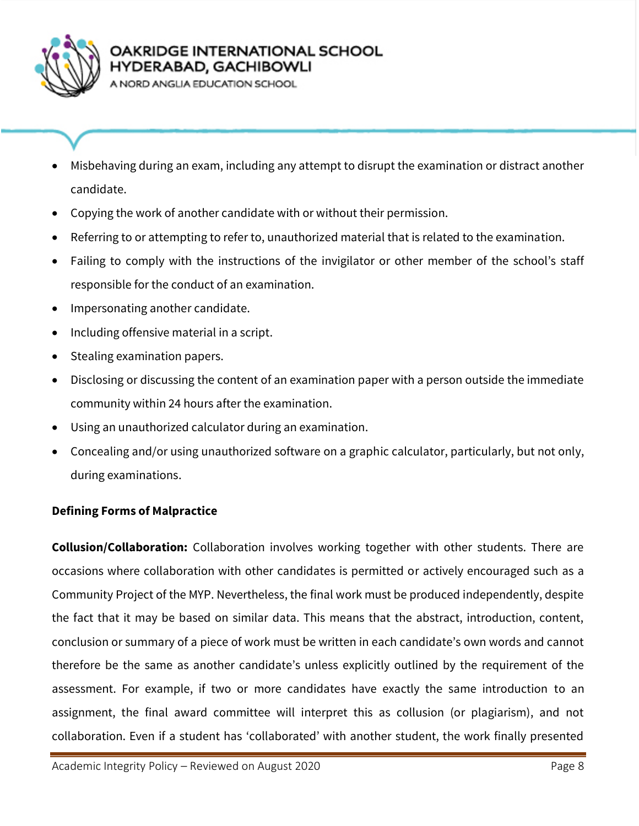

# **GE INTERNATIONAL SCHOOL** BAD. GACHIBOWLI

ORD ANGLIA EDUCATION SCHOOL

- Misbehaving during an exam, including any attempt to disrupt the examination or distract another candidate.
- Copying the work of another candidate with or without their permission.
- Referring to or attempting to refer to, unauthorized material that is related to the examination.
- Failing to comply with the instructions of the invigilator or other member of the school's staff responsible for the conduct of an examination.
- Impersonating another candidate.
- Including offensive material in a script.
- Stealing examination papers.
- Disclosing or discussing the content of an examination paper with a person outside the immediate community within 24 hours after the examination.
- Using an unauthorized calculator during an examination.
- Concealing and/or using unauthorized software on a graphic calculator, particularly, but not only, during examinations.

# **Defining Forms of Malpractice**

**Collusion/Collaboration:** Collaboration involves working together with other students. There are occasions where collaboration with other candidates is permitted or actively encouraged such as a Community Project of the MYP. Nevertheless, the final work must be produced independently, despite the fact that it may be based on similar data. This means that the abstract, introduction, content, conclusion or summary of a piece of work must be written in each candidate's own words and cannot therefore be the same as another candidate's unless explicitly outlined by the requirement of the assessment. For example, if two or more candidates have exactly the same introduction to an assignment, the final award committee will interpret this as collusion (or plagiarism), and not collaboration. Even if a student has 'collaborated' with another student, the work finally presented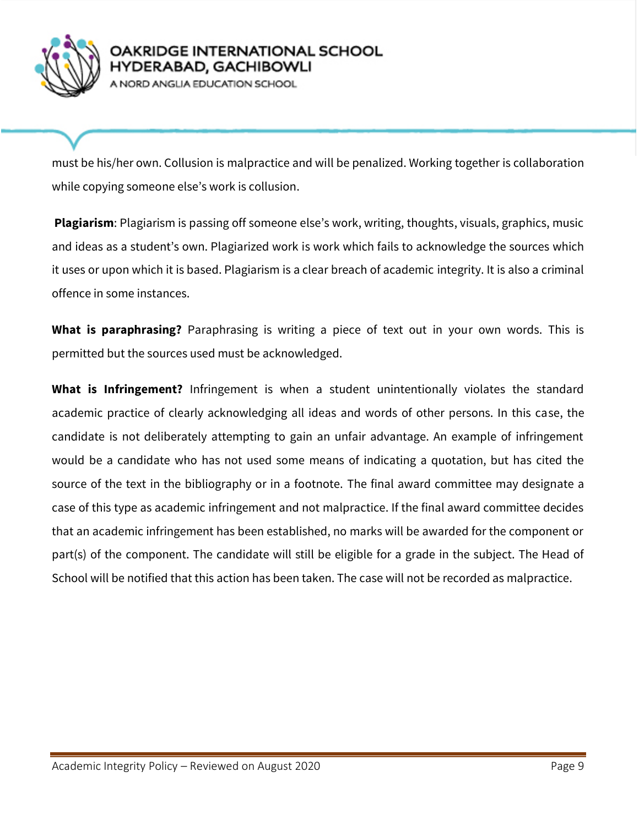

# **GE INTERNATIONAL SCHOOL** BAD. GACHIBOWLI

NGLIA EDUCATION SCHOOL

must be his/her own. Collusion is malpractice and will be penalized. Working together is collaboration while copying someone else's work is collusion.

**Plagiarism**: Plagiarism is passing off someone else's work, writing, thoughts, visuals, graphics, music and ideas as a student's own. Plagiarized work is work which fails to acknowledge the sources which it uses or upon which it is based. Plagiarism is a clear breach of academic integrity. It is also a criminal offence in some instances.

**What is paraphrasing?** Paraphrasing is writing a piece of text out in your own words. This is permitted but the sources used must be acknowledged.

**What is Infringement?** Infringement is when a student unintentionally violates the standard academic practice of clearly acknowledging all ideas and words of other persons. In this case, the candidate is not deliberately attempting to gain an unfair advantage. An example of infringement would be a candidate who has not used some means of indicating a quotation, but has cited the source of the text in the bibliography or in a footnote. The final award committee may designate a case of this type as academic infringement and not malpractice. If the final award committee decides that an academic infringement has been established, no marks will be awarded for the component or part(s) of the component. The candidate will still be eligible for a grade in the subject. The Head of School will be notified that this action has been taken. The case will not be recorded as malpractice.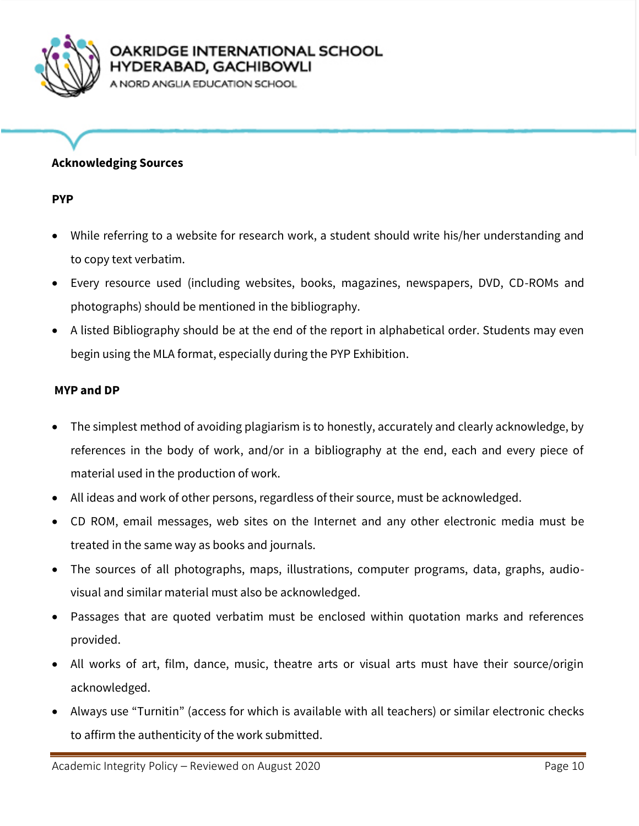

# **INTERNATIONAL SCHOOL** BAD. GACHIBOWLI

ORD ANGLIA EDUCATION SCHOOL

### **Acknowledging Sources**

#### **PYP**

- While referring to a website for research work, a student should write his/her understanding and to copy text verbatim.
- Every resource used (including websites, books, magazines, newspapers, DVD, CD-ROMs and photographs) should be mentioned in the bibliography.
- A listed Bibliography should be at the end of the report in alphabetical order. Students may even begin using the MLA format, especially during the PYP Exhibition.

#### **MYP and DP**

- The simplest method of avoiding plagiarism is to honestly, accurately and clearly acknowledge, by references in the body of work, and/or in a bibliography at the end, each and every piece of material used in the production of work.
- All ideas and work of other persons, regardless of their source, must be acknowledged.
- CD ROM, email messages, web sites on the Internet and any other electronic media must be treated in the same way as books and journals.
- The sources of all photographs, maps, illustrations, computer programs, data, graphs, audiovisual and similar material must also be acknowledged.
- Passages that are quoted verbatim must be enclosed within quotation marks and references provided.
- All works of art, film, dance, music, theatre arts or visual arts must have their source/origin acknowledged.
- Always use "Turnitin" (access for which is available with all teachers) or similar electronic checks to affirm the authenticity of the work submitted.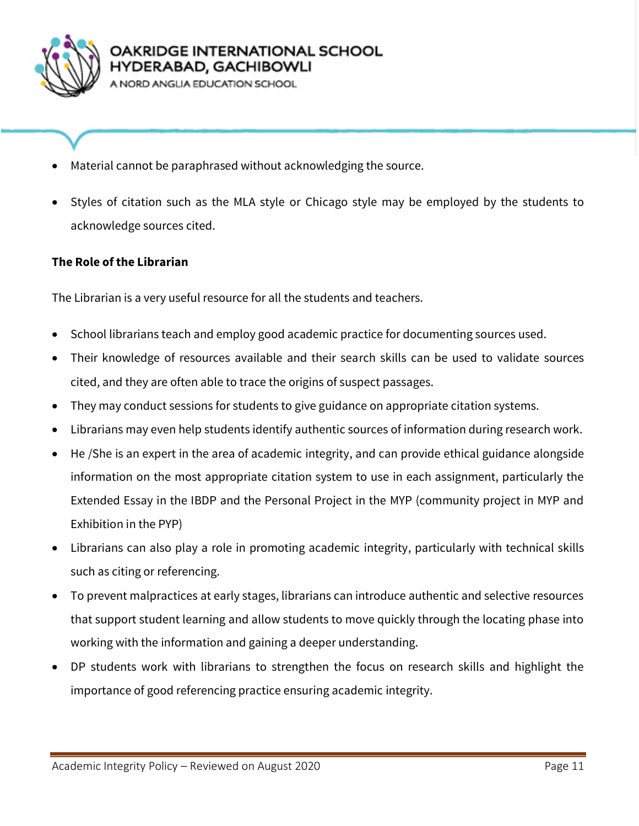

# E INTERNATIONAL SCHOOL BAD. GACHIBOWLI

NGLIA EDUCATION SCHOOL

- Material cannot be paraphrased without acknowledging the source.
- Styles of citation such as the MLA style or Chicago style may be employed by the students to acknowledge sources cited.

#### **The Role of the Librarian**

The Librarian is a very useful resource for all the students and teachers.

- School librarians teach and employ good academic practice for documenting sources used.
- Their knowledge of resources available and their search skills can be used to validate sources cited, and they are often able to trace the origins of suspect passages.
- They may conduct sessions for students to give guidance on appropriate citation systems.
- Librarians may even help students identify authentic sources of information during research work.
- He /She is an expert in the area of academic integrity, and can provide ethical guidance alongside information on the most appropriate citation system to use in each assignment, particularly the Extended Essay in the IBDP and the Personal Project in the MYP (community project in MYP and Exhibition in the PYP)
- Librarians can also play a role in promoting academic integrity, particularly with technical skills such as citing or referencing.
- To prevent malpractices at early stages, librarians can introduce authentic and selective resources that support student learning and allow students to move quickly through the locating phase into working with the information and gaining a deeper understanding.
- DP students work with librarians to strengthen the focus on research skills and highlight the importance of good referencing practice ensuring academic integrity.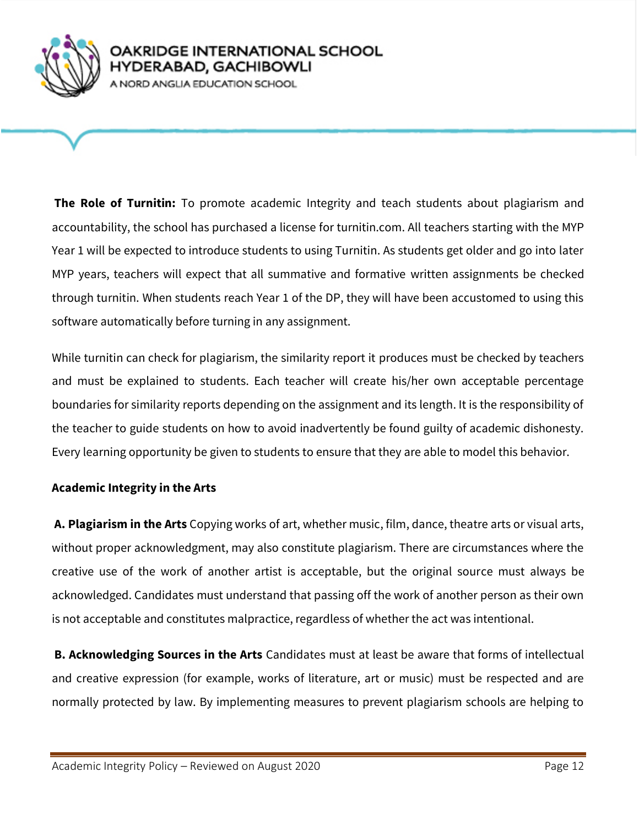

E INTERNATIONAL SCHOOL BAD. GACHIBOWLI

**NGLIA EDUCATION SCHOOL** 

**The Role of Turnitin:** To promote academic Integrity and teach students about plagiarism and accountability, the school has purchased a license for turnitin.com. All teachers starting with the MYP Year 1 will be expected to introduce students to using Turnitin. As students get older and go into later MYP years, teachers will expect that all summative and formative written assignments be checked through turnitin. When students reach Year 1 of the DP, they will have been accustomed to using this software automatically before turning in any assignment.

While turnitin can check for plagiarism, the similarity report it produces must be checked by teachers and must be explained to students. Each teacher will create his/her own acceptable percentage boundaries for similarity reports depending on the assignment and its length. It is the responsibility of the teacher to guide students on how to avoid inadvertently be found guilty of academic dishonesty. Every learning opportunity be given to students to ensure that they are able to model this behavior.

#### **Academic Integrity in the Arts**

**A. Plagiarism in the Arts** Copying works of art, whether music, film, dance, theatre arts or visual arts, without proper acknowledgment, may also constitute plagiarism. There are circumstances where the creative use of the work of another artist is acceptable, but the original source must always be acknowledged. Candidates must understand that passing off the work of another person as their own is not acceptable and constitutes malpractice, regardless of whether the act was intentional.

**B. Acknowledging Sources in the Arts** Candidates must at least be aware that forms of intellectual and creative expression (for example, works of literature, art or music) must be respected and are normally protected by law. By implementing measures to prevent plagiarism schools are helping to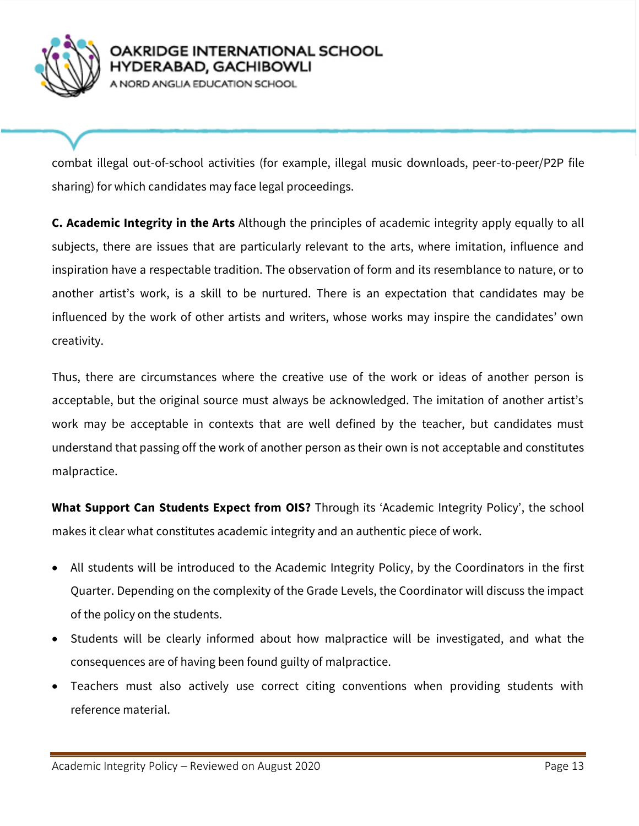

**GE INTERNATIONAL SCHOOL .BAD. GACHIBOWLI** 

**VORD ANGLIA EDUCATION SCHOOL** 

combat illegal out-of-school activities (for example, illegal music downloads, peer-to-peer/P2P file sharing) for which candidates may face legal proceedings.

**C. Academic Integrity in the Arts** Although the principles of academic integrity apply equally to all subjects, there are issues that are particularly relevant to the arts, where imitation, influence and inspiration have a respectable tradition. The observation of form and its resemblance to nature, or to another artist's work, is a skill to be nurtured. There is an expectation that candidates may be influenced by the work of other artists and writers, whose works may inspire the candidates' own creativity.

Thus, there are circumstances where the creative use of the work or ideas of another person is acceptable, but the original source must always be acknowledged. The imitation of another artist's work may be acceptable in contexts that are well defined by the teacher, but candidates must understand that passing off the work of another person as their own is not acceptable and constitutes malpractice.

**What Support Can Students Expect from OIS?** Through its 'Academic Integrity Policy', the school makes it clear what constitutes academic integrity and an authentic piece of work.

- All students will be introduced to the Academic Integrity Policy, by the Coordinators in the first Quarter. Depending on the complexity of the Grade Levels, the Coordinator will discuss the impact of the policy on the students.
- Students will be clearly informed about how malpractice will be investigated, and what the consequences are of having been found guilty of malpractice.
- Teachers must also actively use correct citing conventions when providing students with reference material.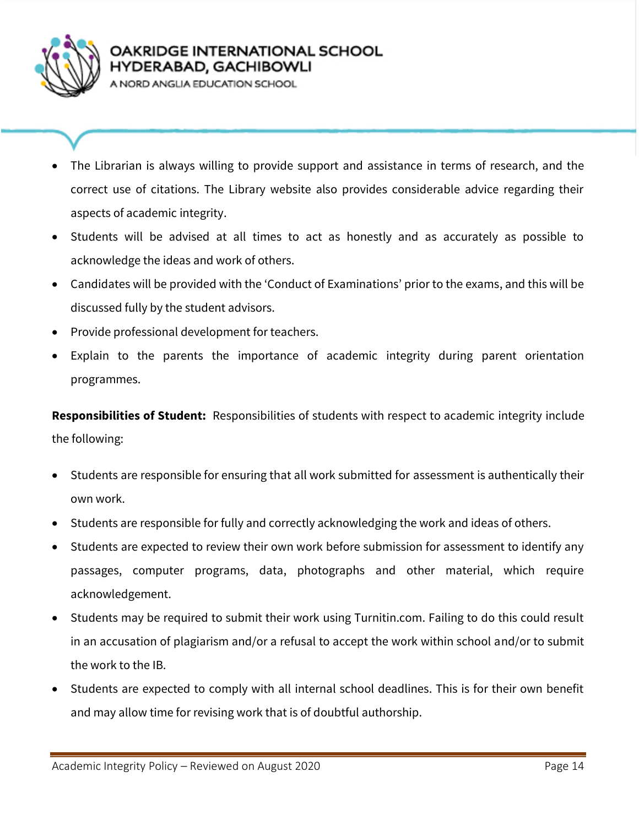

# **OAKRIDGE INTERNATIONAL SCHOOL** 'DERABAD, GACHIBOWLI

NORD ANGLIA EDUCATION SCHOOL

- The Librarian is always willing to provide support and assistance in terms of research, and the correct use of citations. The Library website also provides considerable advice regarding their aspects of academic integrity.
- Students will be advised at all times to act as honestly and as accurately as possible to acknowledge the ideas and work of others.
- Candidates will be provided with the 'Conduct of Examinations' prior to the exams, and this will be discussed fully by the student advisors.
- Provide professional development for teachers.
- Explain to the parents the importance of academic integrity during parent orientation programmes.

**Responsibilities of Student:** Responsibilities of students with respect to academic integrity include the following:

- Students are responsible for ensuring that all work submitted for assessment is authentically their own work.
- Students are responsible for fully and correctly acknowledging the work and ideas of others.
- Students are expected to review their own work before submission for assessment to identify any passages, computer programs, data, photographs and other material, which require acknowledgement.
- Students may be required to submit their work using Turnitin.com. Failing to do this could result in an accusation of plagiarism and/or a refusal to accept the work within school and/or to submit the work to the IB.
- Students are expected to comply with all internal school deadlines. This is for their own benefit and may allow time for revising work that is of doubtful authorship.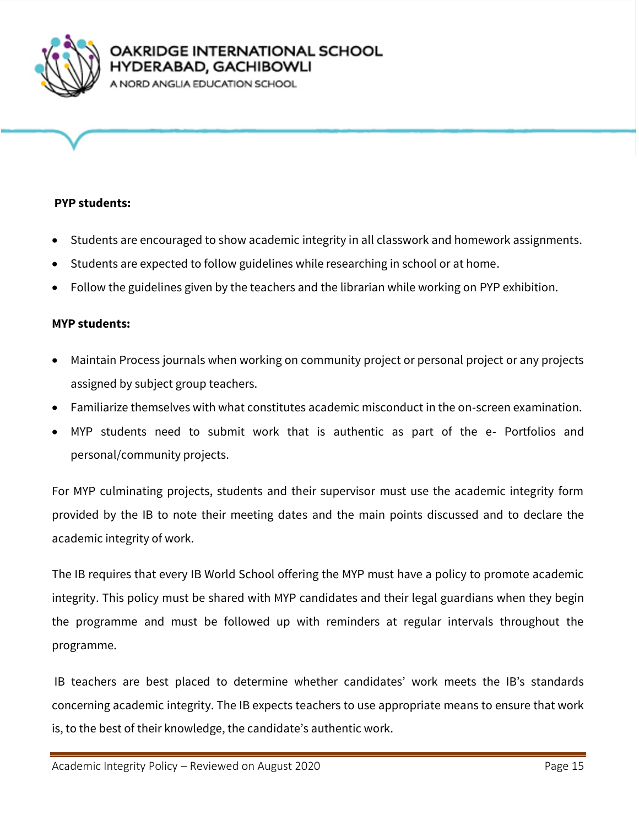

# **GE INTERNATIONAL SCHOOL** BAD. GACHIBOWLI

NGLIA EDUCATION SCHOOL

#### **PYP students:**

- Students are encouraged to show academic integrity in all classwork and homework assignments.
- Students are expected to follow guidelines while researching in school or at home.
- Follow the guidelines given by the teachers and the librarian while working on PYP exhibition.

#### **MYP students:**

- Maintain Process journals when working on community project or personal project or any projects assigned by subject group teachers.
- Familiarize themselves with what constitutes academic misconduct in the on-screen examination.
- MYP students need to submit work that is authentic as part of the e- Portfolios and personal/community projects.

For MYP culminating projects, students and their supervisor must use the academic integrity form provided by the IB to note their meeting dates and the main points discussed and to declare the academic integrity of work.

The IB requires that every IB World School offering the MYP must have a policy to promote academic integrity. This policy must be shared with MYP candidates and their legal guardians when they begin the programme and must be followed up with reminders at regular intervals throughout the programme.

IB teachers are best placed to determine whether candidates' work meets the IB's standards concerning academic integrity. The IB expects teachers to use appropriate means to ensure that work is, to the best of their knowledge, the candidate's authentic work.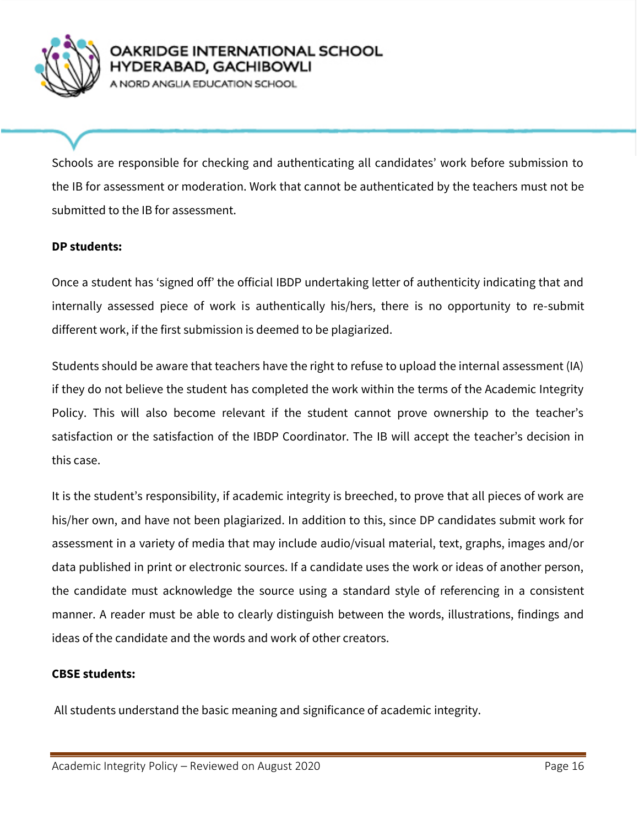

# **INTERNATIONAL SCHOOL** BAD. GACHIBOWLI

NGLIA EDUCATION SCHOOL

Schools are responsible for checking and authenticating all candidates' work before submission to the IB for assessment or moderation. Work that cannot be authenticated by the teachers must not be submitted to the IB for assessment.

#### **DP students:**

Once a student has 'signed off' the official IBDP undertaking letter of authenticity indicating that and internally assessed piece of work is authentically his/hers, there is no opportunity to re-submit different work, if the first submission is deemed to be plagiarized.

Students should be aware that teachers have the right to refuse to upload the internal assessment (IA) if they do not believe the student has completed the work within the terms of the Academic Integrity Policy. This will also become relevant if the student cannot prove ownership to the teacher's satisfaction or the satisfaction of the IBDP Coordinator. The IB will accept the teacher's decision in this case.

It is the student's responsibility, if academic integrity is breeched, to prove that all pieces of work are his/her own, and have not been plagiarized. In addition to this, since DP candidates submit work for assessment in a variety of media that may include audio/visual material, text, graphs, images and/or data published in print or electronic sources. If a candidate uses the work or ideas of another person, the candidate must acknowledge the source using a standard style of referencing in a consistent manner. A reader must be able to clearly distinguish between the words, illustrations, findings and ideas of the candidate and the words and work of other creators.

#### **CBSE students:**

All students understand the basic meaning and significance of academic integrity.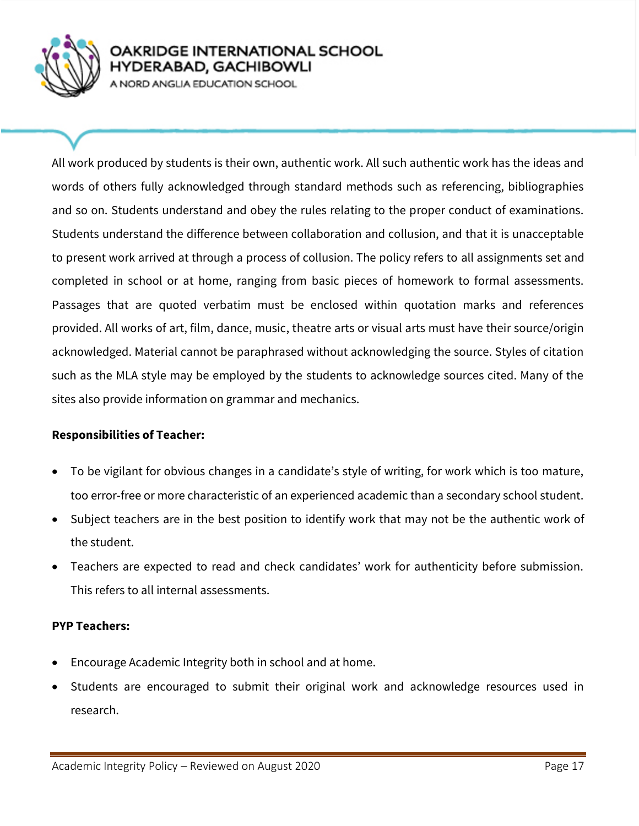

# **GE INTERNATIONAL SCHOOL** BAD. GACHIBOWLI،

ORD ANGLIA EDUCATION SCHOOL

All work produced by students is their own, authentic work. All such authentic work has the ideas and words of others fully acknowledged through standard methods such as referencing, bibliographies and so on. Students understand and obey the rules relating to the proper conduct of examinations. Students understand the difference between collaboration and collusion, and that it is unacceptable to present work arrived at through a process of collusion. The policy refers to all assignments set and completed in school or at home, ranging from basic pieces of homework to formal assessments. Passages that are quoted verbatim must be enclosed within quotation marks and references provided. All works of art, film, dance, music, theatre arts or visual arts must have their source/origin acknowledged. Material cannot be paraphrased without acknowledging the source. Styles of citation such as the MLA style may be employed by the students to acknowledge sources cited. Many of the sites also provide information on grammar and mechanics.

#### **Responsibilities of Teacher:**

- To be vigilant for obvious changes in a candidate's style of writing, for work which is too mature, too error-free or more characteristic of an experienced academic than a secondary school student.
- Subject teachers are in the best position to identify work that may not be the authentic work of the student.
- Teachers are expected to read and check candidates' work for authenticity before submission. This refers to all internal assessments.

#### **PYP Teachers:**

- Encourage Academic Integrity both in school and at home.
- Students are encouraged to submit their original work and acknowledge resources used in research.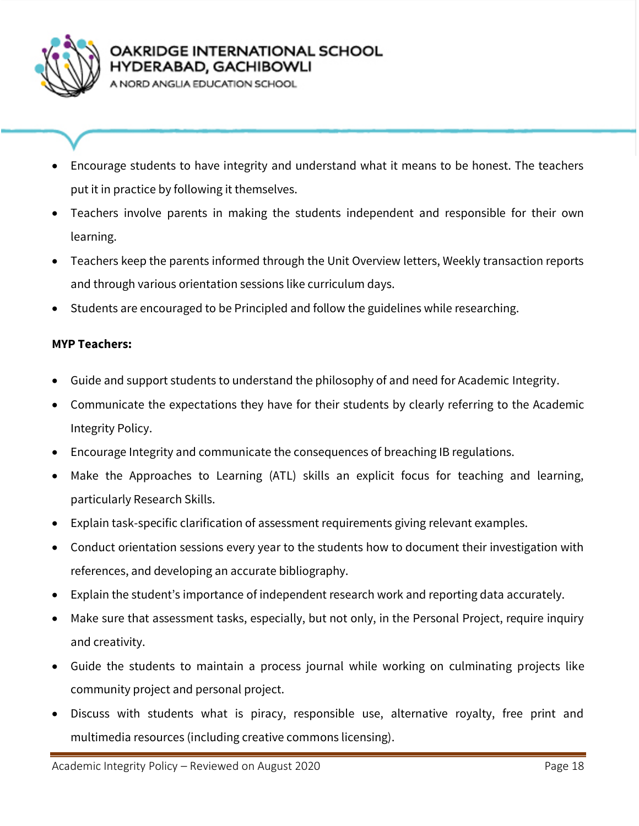

# **GE INTERNATIONAL SCHOOL** BAD. GACHIBOWLI.

ORD ANGLIA EDUCATION SCHOOL

- Encourage students to have integrity and understand what it means to be honest. The teachers put it in practice by following it themselves.
- Teachers involve parents in making the students independent and responsible for their own learning.
- Teachers keep the parents informed through the Unit Overview letters, Weekly transaction reports and through various orientation sessions like curriculum days.
- Students are encouraged to be Principled and follow the guidelines while researching.

#### **MYP Teachers:**

- Guide and support students to understand the philosophy of and need for Academic Integrity.
- Communicate the expectations they have for their students by clearly referring to the Academic Integrity Policy.
- Encourage Integrity and communicate the consequences of breaching IB regulations.
- Make the Approaches to Learning (ATL) skills an explicit focus for teaching and learning, particularly Research Skills.
- Explain task-specific clarification of assessment requirements giving relevant examples.
- Conduct orientation sessions every year to the students how to document their investigation with references, and developing an accurate bibliography.
- Explain the student's importance of independent research work and reporting data accurately.
- Make sure that assessment tasks, especially, but not only, in the Personal Project, require inquiry and creativity.
- Guide the students to maintain a process journal while working on culminating projects like community project and personal project.
- Discuss with students what is piracy, responsible use, alternative royalty, free print and multimedia resources (including creative commons licensing).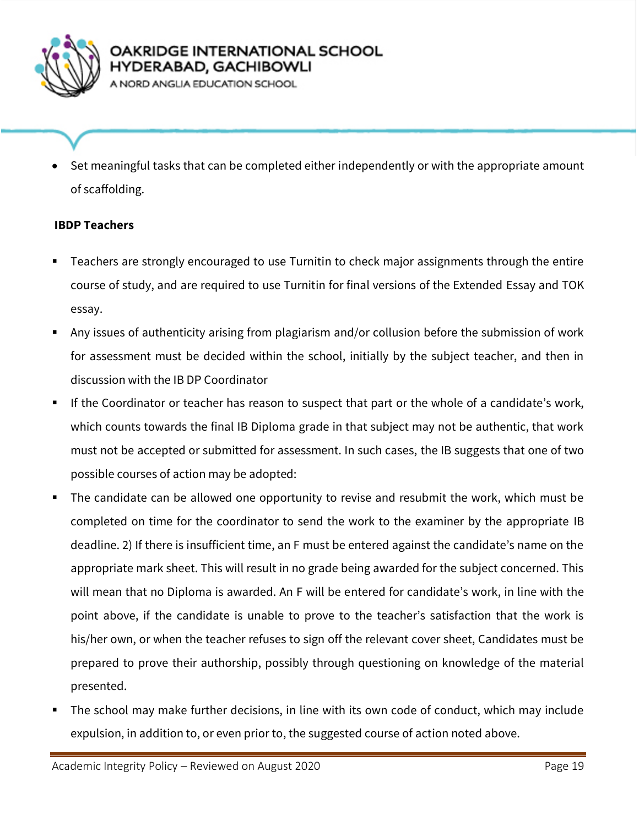

ORD ANGLIA EDUCATION SCHOOL

 Set meaningful tasks that can be completed either independently or with the appropriate amount of scaffolding.

# **IBDP Teachers**

- Teachers are strongly encouraged to use Turnitin to check major assignments through the entire course of study, and are required to use Turnitin for final versions of the Extended Essay and TOK essay.
- Any issues of authenticity arising from plagiarism and/or collusion before the submission of work for assessment must be decided within the school, initially by the subject teacher, and then in discussion with the IB DP Coordinator
- If the Coordinator or teacher has reason to suspect that part or the whole of a candidate's work, which counts towards the final IB Diploma grade in that subject may not be authentic, that work must not be accepted or submitted for assessment. In such cases, the IB suggests that one of two possible courses of action may be adopted:
- The candidate can be allowed one opportunity to revise and resubmit the work, which must be completed on time for the coordinator to send the work to the examiner by the appropriate IB deadline. 2) If there is insufficient time, an F must be entered against the candidate's name on the appropriate mark sheet. This will result in no grade being awarded for the subject concerned. This will mean that no Diploma is awarded. An F will be entered for candidate's work, in line with the point above, if the candidate is unable to prove to the teacher's satisfaction that the work is his/her own, or when the teacher refuses to sign off the relevant cover sheet, Candidates must be prepared to prove their authorship, possibly through questioning on knowledge of the material presented.
- The school may make further decisions, in line with its own code of conduct, which may include expulsion, in addition to, or even prior to, the suggested course of action noted above.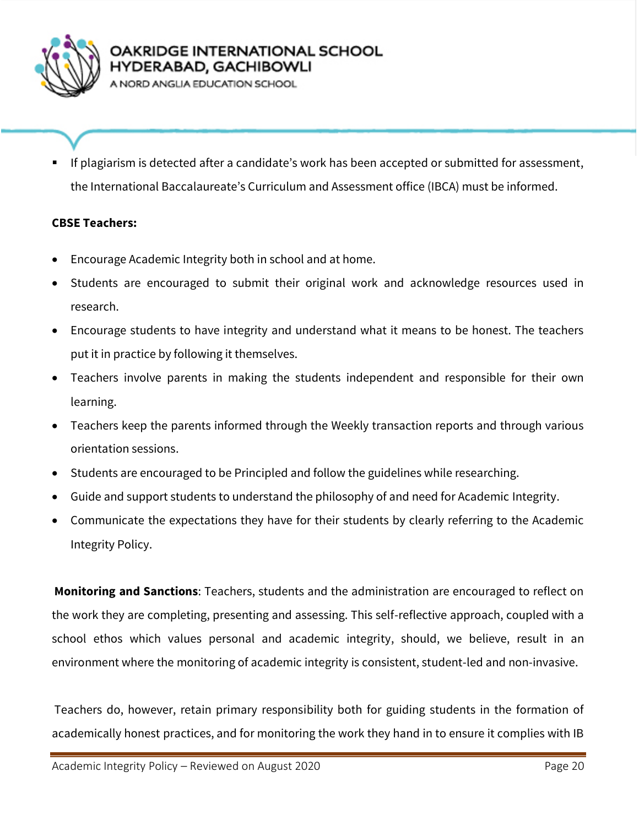

# **DGE INTERNATIONAL SCHOOL** ABAD. GACHIBOWLI

NORD ANGLIA EDUCATION SCHOOL

 If plagiarism is detected after a candidate's work has been accepted or submitted for assessment, the International Baccalaureate's Curriculum and Assessment office (IBCA) must be informed.

# **CBSE Teachers:**

- Encourage Academic Integrity both in school and at home.
- Students are encouraged to submit their original work and acknowledge resources used in research.
- Encourage students to have integrity and understand what it means to be honest. The teachers put it in practice by following it themselves.
- Teachers involve parents in making the students independent and responsible for their own learning.
- Teachers keep the parents informed through the Weekly transaction reports and through various orientation sessions.
- Students are encouraged to be Principled and follow the guidelines while researching.
- Guide and support students to understand the philosophy of and need for Academic Integrity.
- Communicate the expectations they have for their students by clearly referring to the Academic Integrity Policy.

**Monitoring and Sanctions**: Teachers, students and the administration are encouraged to reflect on the work they are completing, presenting and assessing. This self-reflective approach, coupled with a school ethos which values personal and academic integrity, should, we believe, result in an environment where the monitoring of academic integrity is consistent, student-led and non-invasive.

Teachers do, however, retain primary responsibility both for guiding students in the formation of academically honest practices, and for monitoring the work they hand in to ensure it complies with IB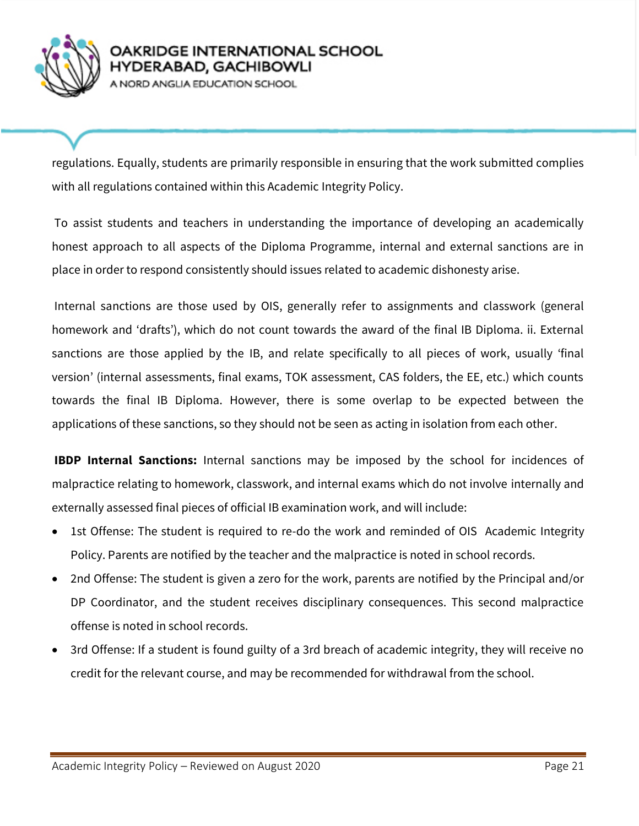

# **GE INTERNATIONAL SCHOOL** BAD. GACHIBOWLI

ORD ANGLIA EDUCATION SCHOOL

regulations. Equally, students are primarily responsible in ensuring that the work submitted complies with all regulations contained within this Academic Integrity Policy.

To assist students and teachers in understanding the importance of developing an academically honest approach to all aspects of the Diploma Programme, internal and external sanctions are in place in order to respond consistently should issues related to academic dishonesty arise.

Internal sanctions are those used by OIS, generally refer to assignments and classwork (general homework and 'drafts'), which do not count towards the award of the final IB Diploma. ii. External sanctions are those applied by the IB, and relate specifically to all pieces of work, usually 'final version' (internal assessments, final exams, TOK assessment, CAS folders, the EE, etc.) which counts towards the final IB Diploma. However, there is some overlap to be expected between the applications of these sanctions, so they should not be seen as acting in isolation from each other.

**IBDP Internal Sanctions:** Internal sanctions may be imposed by the school for incidences of malpractice relating to homework, classwork, and internal exams which do not involve internally and externally assessed final pieces of official IB examination work, and will include:

- 1st Offense: The student is required to re-do the work and reminded of OIS Academic Integrity Policy. Parents are notified by the teacher and the malpractice is noted in school records.
- 2nd Offense: The student is given a zero for the work, parents are notified by the Principal and/or DP Coordinator, and the student receives disciplinary consequences. This second malpractice offense is noted in school records.
- 3rd Offense: If a student is found guilty of a 3rd breach of academic integrity, they will receive no credit for the relevant course, and may be recommended for withdrawal from the school.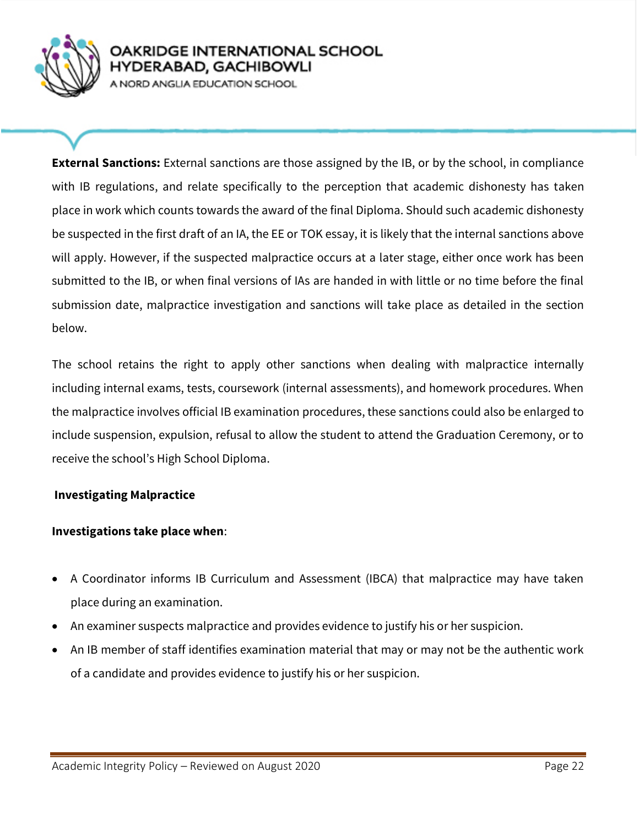

# **GE INTERNATIONAL SCHOOL** BAD. GACHIBOWLI

**NGLIA EDUCATION SCHOOL** 

**External Sanctions:** External sanctions are those assigned by the IB, or by the school, in compliance with IB regulations, and relate specifically to the perception that academic dishonesty has taken place in work which counts towards the award of the final Diploma. Should such academic dishonesty be suspected in the first draft of an IA, the EE or TOK essay, it is likely that the internal sanctions above will apply. However, if the suspected malpractice occurs at a later stage, either once work has been submitted to the IB, or when final versions of IAs are handed in with little or no time before the final submission date, malpractice investigation and sanctions will take place as detailed in the section below.

The school retains the right to apply other sanctions when dealing with malpractice internally including internal exams, tests, coursework (internal assessments), and homework procedures. When the malpractice involves official IB examination procedures, these sanctions could also be enlarged to include suspension, expulsion, refusal to allow the student to attend the Graduation Ceremony, or to receive the school's High School Diploma.

#### **Investigating Malpractice**

#### **Investigations take place when**:

- A Coordinator informs IB Curriculum and Assessment (IBCA) that malpractice may have taken place during an examination.
- An examiner suspects malpractice and provides evidence to justify his or her suspicion.
- An IB member of staff identifies examination material that may or may not be the authentic work of a candidate and provides evidence to justify his or her suspicion.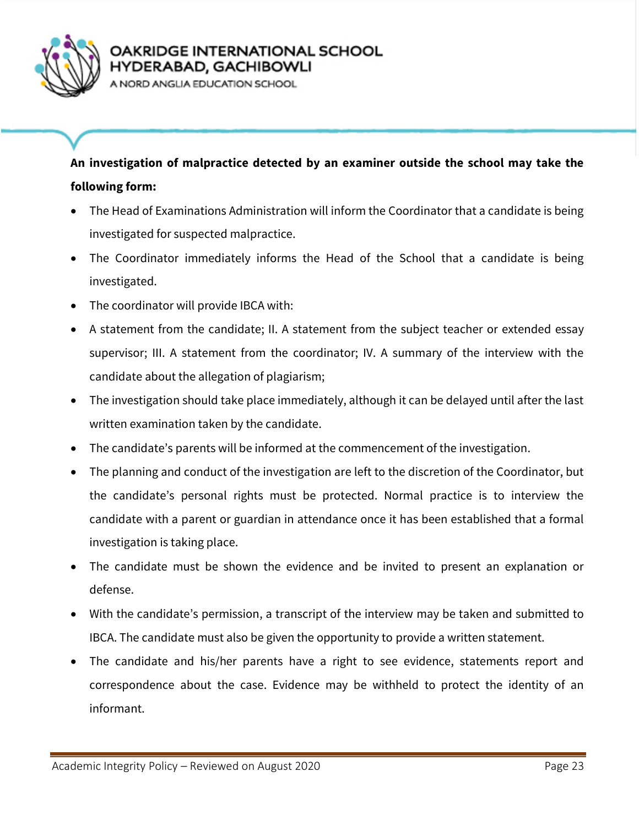

# **GE INTERNATIONAL SCHOOL \BAD. GACHIBOWLI**

NORD ANGLIA EDUCATION SCHOOL

# **An investigation of malpractice detected by an examiner outside the school may take the following form:**

- The Head of Examinations Administration will inform the Coordinator that a candidate is being investigated for suspected malpractice.
- The Coordinator immediately informs the Head of the School that a candidate is being investigated.
- The coordinator will provide IBCA with:
- A statement from the candidate; II. A statement from the subject teacher or extended essay supervisor; III. A statement from the coordinator; IV. A summary of the interview with the candidate about the allegation of plagiarism;
- The investigation should take place immediately, although it can be delayed until after the last written examination taken by the candidate.
- The candidate's parents will be informed at the commencement of the investigation.
- The planning and conduct of the investigation are left to the discretion of the Coordinator, but the candidate's personal rights must be protected. Normal practice is to interview the candidate with a parent or guardian in attendance once it has been established that a formal investigation is taking place.
- The candidate must be shown the evidence and be invited to present an explanation or defense.
- With the candidate's permission, a transcript of the interview may be taken and submitted to IBCA. The candidate must also be given the opportunity to provide a written statement.
- The candidate and his/her parents have a right to see evidence, statements report and correspondence about the case. Evidence may be withheld to protect the identity of an informant.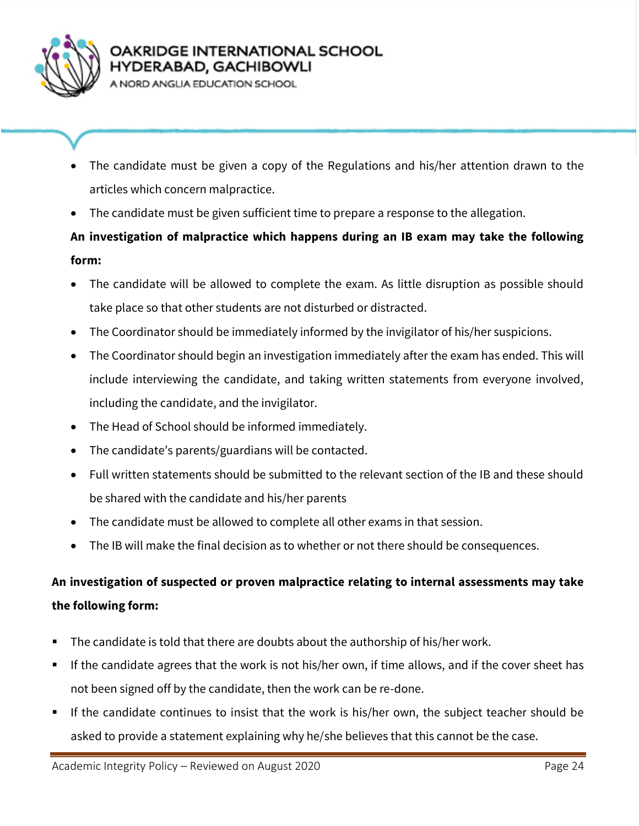

# RIDGE INTERNATIONAL SCHOOL ABAD. GACHIBOWLI

NORD ANGLIA EDUCATION SCHOOL

- The candidate must be given a copy of the Regulations and his/her attention drawn to the articles which concern malpractice.
- The candidate must be given sufficient time to prepare a response to the allegation.

# **An investigation of malpractice which happens during an IB exam may take the following form:**

- The candidate will be allowed to complete the exam. As little disruption as possible should take place so that other students are not disturbed or distracted.
- The Coordinator should be immediately informed by the invigilator of his/her suspicions.
- The Coordinator should begin an investigation immediately after the exam has ended. This will include interviewing the candidate, and taking written statements from everyone involved, including the candidate, and the invigilator.
- The Head of School should be informed immediately.
- The candidate's parents/guardians will be contacted.
- Full written statements should be submitted to the relevant section of the IB and these should be shared with the candidate and his/her parents
- The candidate must be allowed to complete all other exams in that session.
- The IB will make the final decision as to whether or not there should be consequences.

# **An investigation of suspected or proven malpractice relating to internal assessments may take the following form:**

- The candidate is told that there are doubts about the authorship of his/her work.
- If the candidate agrees that the work is not his/her own, if time allows, and if the cover sheet has not been signed off by the candidate, then the work can be re-done.
- If the candidate continues to insist that the work is his/her own, the subject teacher should be asked to provide a statement explaining why he/she believes that this cannot be the case.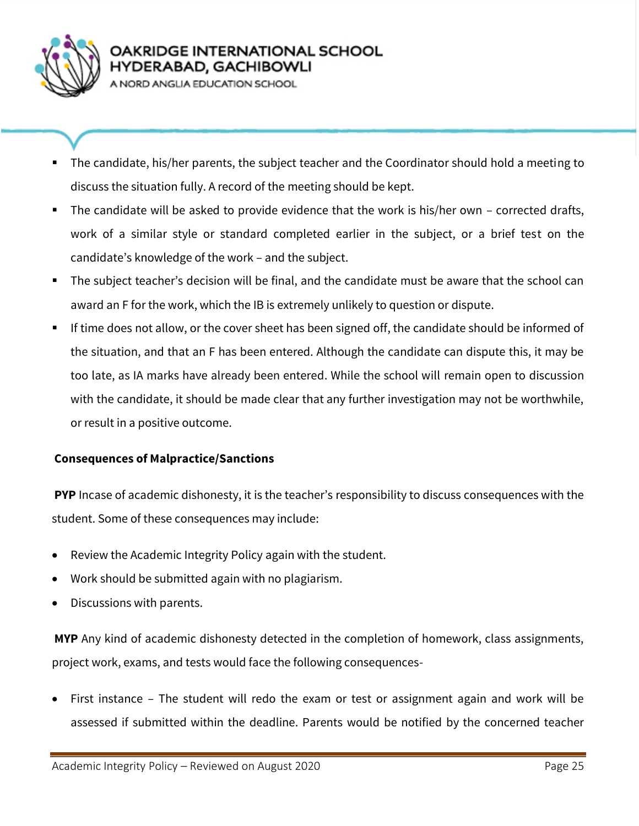

**VORD ANGLIA EDUCATION SCHOOL** 

- The candidate, his/her parents, the subject teacher and the Coordinator should hold a meeting to discuss the situation fully. A record of the meeting should be kept.
- The candidate will be asked to provide evidence that the work is his/her own corrected drafts, work of a similar style or standard completed earlier in the subject, or a brief test on the candidate's knowledge of the work – and the subject.
- The subject teacher's decision will be final, and the candidate must be aware that the school can award an F for the work, which the IB is extremely unlikely to question or dispute.
- If time does not allow, or the cover sheet has been signed off, the candidate should be informed of the situation, and that an F has been entered. Although the candidate can dispute this, it may be too late, as IA marks have already been entered. While the school will remain open to discussion with the candidate, it should be made clear that any further investigation may not be worthwhile, or result in a positive outcome.

# **Consequences of Malpractice/Sanctions**

**PYP** Incase of academic dishonesty, it is the teacher's responsibility to discuss consequences with the student. Some of these consequences may include:

- Review the Academic Integrity Policy again with the student.
- Work should be submitted again with no plagiarism.
- Discussions with parents.

**MYP** Any kind of academic dishonesty detected in the completion of homework, class assignments, project work, exams, and tests would face the following consequences-

 First instance – The student will redo the exam or test or assignment again and work will be assessed if submitted within the deadline. Parents would be notified by the concerned teacher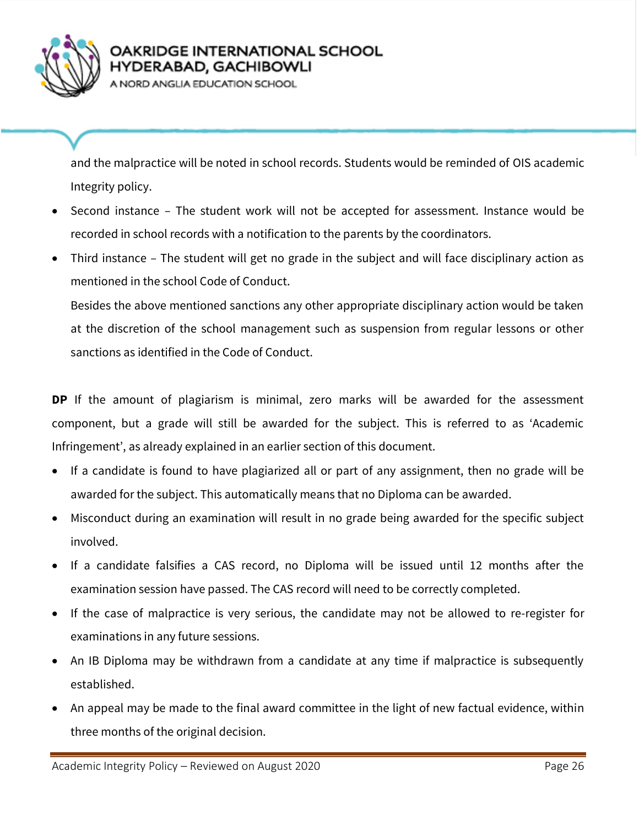

# **GE INTERNATIONAL SCHOOL \BAD. GACHIBOWLI**

NORD ANGLIA EDUCATION SCHOOL

and the malpractice will be noted in school records. Students would be reminded of OIS academic Integrity policy.

- Second instance The student work will not be accepted for assessment. Instance would be recorded in school records with a notification to the parents by the coordinators.
- Third instance The student will get no grade in the subject and will face disciplinary action as mentioned in the school Code of Conduct.

Besides the above mentioned sanctions any other appropriate disciplinary action would be taken at the discretion of the school management such as suspension from regular lessons or other sanctions as identified in the Code of Conduct.

**DP** If the amount of plagiarism is minimal, zero marks will be awarded for the assessment component, but a grade will still be awarded for the subject. This is referred to as 'Academic Infringement', as already explained in an earlier section of this document.

- If a candidate is found to have plagiarized all or part of any assignment, then no grade will be awarded for the subject. This automatically means that no Diploma can be awarded.
- Misconduct during an examination will result in no grade being awarded for the specific subject involved.
- If a candidate falsifies a CAS record, no Diploma will be issued until 12 months after the examination session have passed. The CAS record will need to be correctly completed.
- If the case of malpractice is very serious, the candidate may not be allowed to re-register for examinations in any future sessions.
- An IB Diploma may be withdrawn from a candidate at any time if malpractice is subsequently established.
- An appeal may be made to the final award committee in the light of new factual evidence, within three months of the original decision.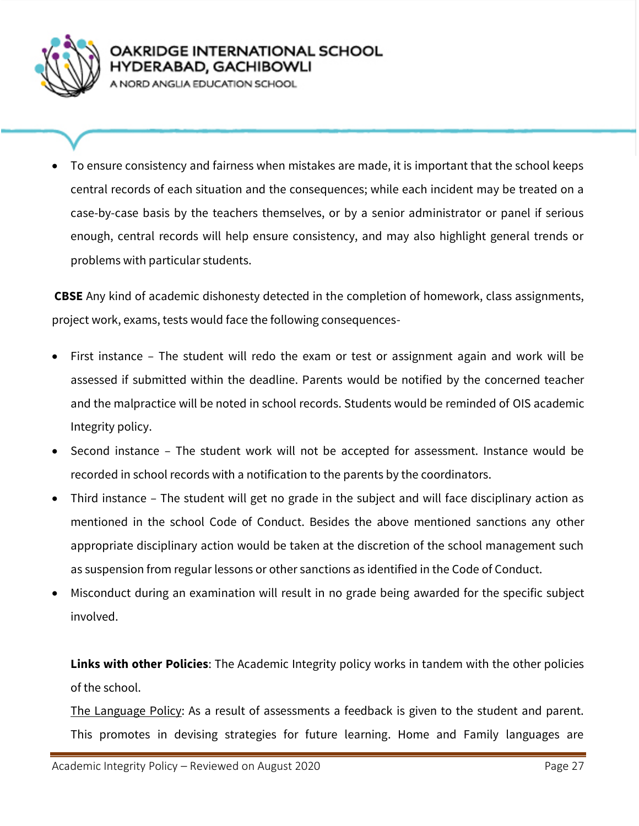

# **GE INTERNATIONAL SCHOOL \BAD. GACHIBOWLI**

**NORD ANGLIA EDUCATION SCHOOL** 

 To ensure consistency and fairness when mistakes are made, it is important that the school keeps central records of each situation and the consequences; while each incident may be treated on a case-by-case basis by the teachers themselves, or by a senior administrator or panel if serious enough, central records will help ensure consistency, and may also highlight general trends or problems with particular students.

**CBSE** Any kind of academic dishonesty detected in the completion of homework, class assignments, project work, exams, tests would face the following consequences-

- First instance The student will redo the exam or test or assignment again and work will be assessed if submitted within the deadline. Parents would be notified by the concerned teacher and the malpractice will be noted in school records. Students would be reminded of OIS academic Integrity policy.
- Second instance The student work will not be accepted for assessment. Instance would be recorded in school records with a notification to the parents by the coordinators.
- Third instance The student will get no grade in the subject and will face disciplinary action as mentioned in the school Code of Conduct. Besides the above mentioned sanctions any other appropriate disciplinary action would be taken at the discretion of the school management such as suspension from regular lessons or other sanctions as identified in the Code of Conduct.
- Misconduct during an examination will result in no grade being awarded for the specific subject involved.

**Links with other Policies**: The Academic Integrity policy works in tandem with the other policies of the school.

The Language Policy: As a result of assessments a feedback is given to the student and parent. This promotes in devising strategies for future learning. Home and Family languages are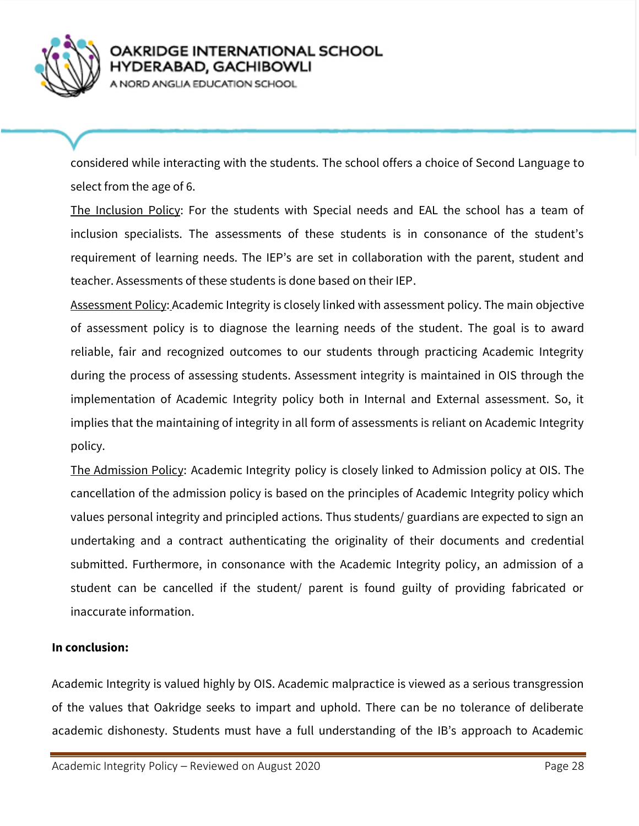

# **GE INTERNATIONAL SCHOOL** \BAD, GACHIBOWLI

ORD ANGLIA EDUCATION SCHOOL

considered while interacting with the students. The school offers a choice of Second Language to select from the age of 6.

The Inclusion Policy: For the students with Special needs and EAL the school has a team of inclusion specialists. The assessments of these students is in consonance of the student's requirement of learning needs. The IEP's are set in collaboration with the parent, student and teacher. Assessments of these students is done based on their IEP.

Assessment Policy: Academic Integrity is closely linked with assessment policy. The main objective of assessment policy is to diagnose the learning needs of the student. The goal is to award reliable, fair and recognized outcomes to our students through practicing Academic Integrity during the process of assessing students. Assessment integrity is maintained in OIS through the implementation of Academic Integrity policy both in Internal and External assessment. So, it implies that the maintaining of integrity in all form of assessments is reliant on Academic Integrity policy.

The Admission Policy: Academic Integrity policy is closely linked to Admission policy at OIS. The cancellation of the admission policy is based on the principles of Academic Integrity policy which values personal integrity and principled actions. Thus students/ guardians are expected to sign an undertaking and a contract authenticating the originality of their documents and credential submitted. Furthermore, in consonance with the Academic Integrity policy, an admission of a student can be cancelled if the student/ parent is found guilty of providing fabricated or inaccurate information.

#### **In conclusion:**

Academic Integrity is valued highly by OIS. Academic malpractice is viewed as a serious transgression of the values that Oakridge seeks to impart and uphold. There can be no tolerance of deliberate academic dishonesty. Students must have a full understanding of the IB's approach to Academic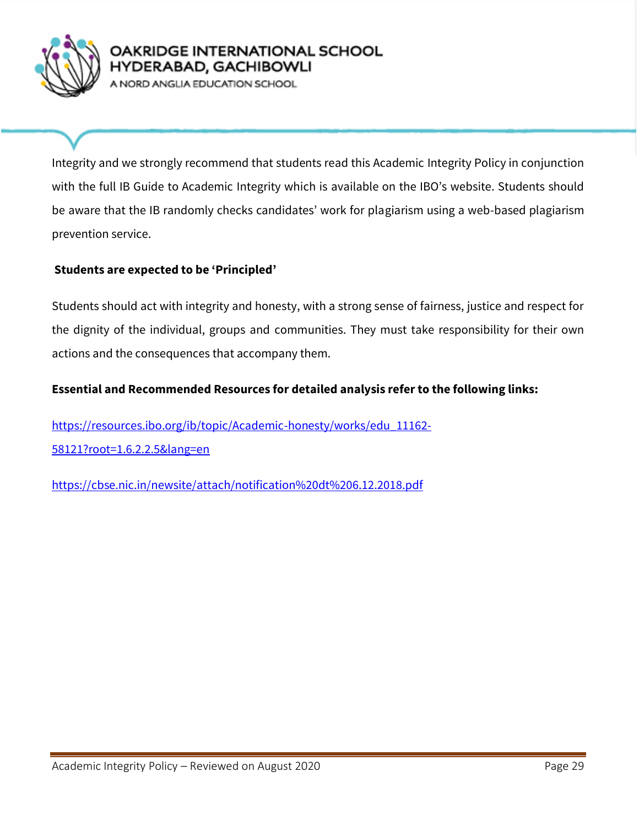

# **GE INTERNATIONAL SCHOOL** ABAD, GACHIBOWLI

**NORD ANGLIA EDUCATION SCHOOL** 

Integrity and we strongly recommend that students read this Academic Integrity Policy in conjunction with the full IB Guide to Academic Integrity which is available on the IBO's website. Students should be aware that the IB randomly checks candidates' work for plagiarism using a web-based plagiarism prevention service.

# **Students are expected to be 'Principled'**

Students should act with integrity and honesty, with a strong sense of fairness, justice and respect for the dignity of the individual, groups and communities. They must take responsibility for their own actions and the consequences that accompany them.

# **Essential and Recommended Resources for detailed analysis refer to the following links:**

[https://resources.ibo.org/ib/topic/Academic-honesty/works/edu\\_11162-](https://resources.ibo.org/ib/topic/Academic-honesty/works/edu_11162-58121?root=1.6.2.2.5&lang=en) [58121?root=1.6.2.2.5&lang=en](https://resources.ibo.org/ib/topic/Academic-honesty/works/edu_11162-58121?root=1.6.2.2.5&lang=en)

<https://cbse.nic.in/newsite/attach/notification%20dt%206.12.2018.pdf>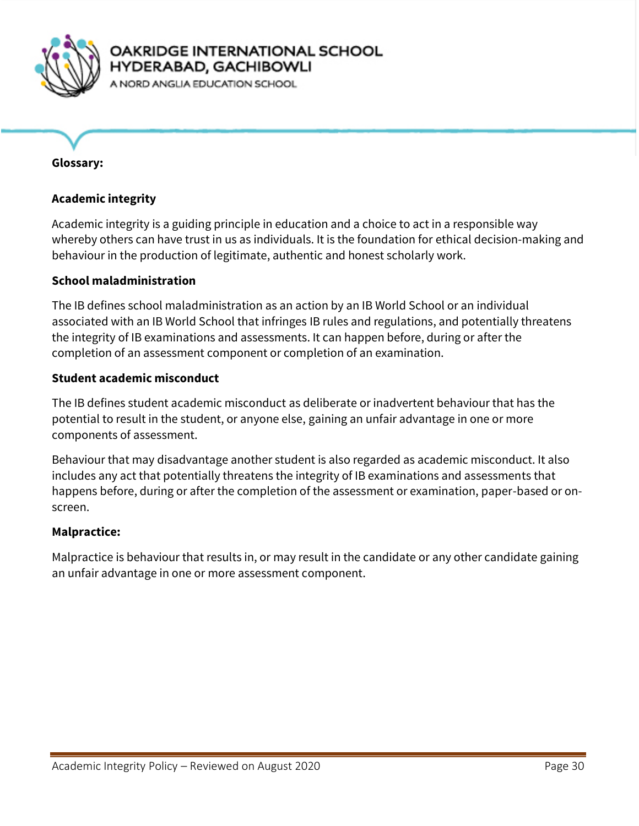

# OAKRIDGE INTERNATIONAL SCHOOL<br>HYDERABAD, GACHIBOWLI

A NORD ANGLIA EDUCATION SCHOOL

# **Glossary:**

#### **Academic integrity**

Academic integrity is a guiding principle in education and a choice to act in a responsible way whereby others can have trust in us as individuals. It is the foundation for ethical decision-making and behaviour in the production of legitimate, authentic and honest scholarly work.

#### **School maladministration**

The IB defines [school maladministration](https://resources.ibo.org/ib/topic/Academic-honesty/works/edu_11162-58121?root=1.6.2.8.7&view=div&lang=en&odd=ibo.odd#id-5d043f36-3b01-4eba-bdaa-c03241ae6ad5) as an action by an IB World School or an individual associated with an IB World School that infringes IB rules and regulations, and potentially threatens the integrity of IB examinations and assessments. It can happen before, during or after the completion of an assessment component or completion of an examination.

#### **Student academic misconduct**

The IB defines [student academic misconduct](https://resources.ibo.org/ib/topic/Academic-honesty/works/edu_11162-58121?root=1.6.2.8.9&view=div&lang=en&odd=ibo.odd#id-966d70a5-fef8-42e0-bd28-bb6ffb798b48) as deliberate or inadvertent behaviour that has the potential to result in the student, or anyone else, gaining an unfair advantage in one or more components of assessment.

Behaviour that may disadvantage another student is also regarded as academic misconduct. It also includes any act that potentially threatens the integrity of IB examinations and assessments that happens before, during or after the completion of the assessment or examination, paper-based or onscreen.

#### **Malpractice:**

Malpractice is behaviour that results in, or may result in the candidate or any other candidate gaining an unfair advantage in one or more assessment component.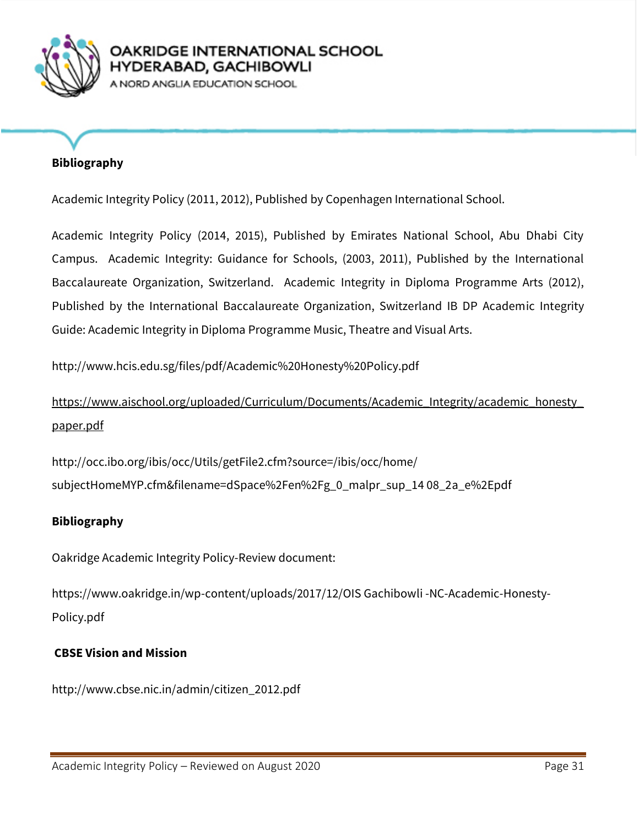

# **GE INTERNATIONAL SCHOOL \BAD, GACHIBOWLI**

**VORD ANGLIA EDUCATION SCHOOL** 

# **Bibliography**

Academic Integrity Policy (2011, 2012), Published by Copenhagen International School.

Academic Integrity Policy (2014, 2015), Published by Emirates National School, Abu Dhabi City Campus. Academic Integrity: Guidance for Schools, (2003, 2011), Published by the International Baccalaureate Organization, Switzerland. Academic Integrity in Diploma Programme Arts (2012), Published by the International Baccalaureate Organization, Switzerland IB DP Academic Integrity Guide: Academic Integrity in Diploma Programme Music, Theatre and Visual Arts.

http://www.hcis.edu.sg/files/pdf/Academic%20Honesty%20Policy.pdf

[https://www.aischool.org/uploaded/Curriculum/Documents/Academic\\_Integrity/academic\\_honesty\\_](https://www.aischool.org/uploaded/Curriculum/Documents/Academic_Integrity/academic_honesty_paper.pdf) [paper.pdf](https://www.aischool.org/uploaded/Curriculum/Documents/Academic_Integrity/academic_honesty_paper.pdf)

http://occ.ibo.org/ibis/occ/Utils/getFile2.cfm?source=/ibis/occ/home/ subjectHomeMYP.cfm&filename=dSpace%2Fen%2Fg\_0\_malpr\_sup\_14 08\_2a\_e%2Epdf

# **Bibliography**

Oakridge Academic Integrity Policy-Review document:

[https://www.oakridge.in/wp-content/uploads/2017/12/OIS Gachibowli -NC-Academic-Honesty-](https://www.oakridge.in/wp-content/uploads/2017/12/OIS%20Gachibowli%20-NC-Academic-Honesty-Policy.pdf)[Policy.pdf](https://www.oakridge.in/wp-content/uploads/2017/12/OIS%20Gachibowli%20-NC-Academic-Honesty-Policy.pdf)

#### **CBSE Vision and Mission**

http://www.cbse.nic.in/admin/citizen\_2012.pdf